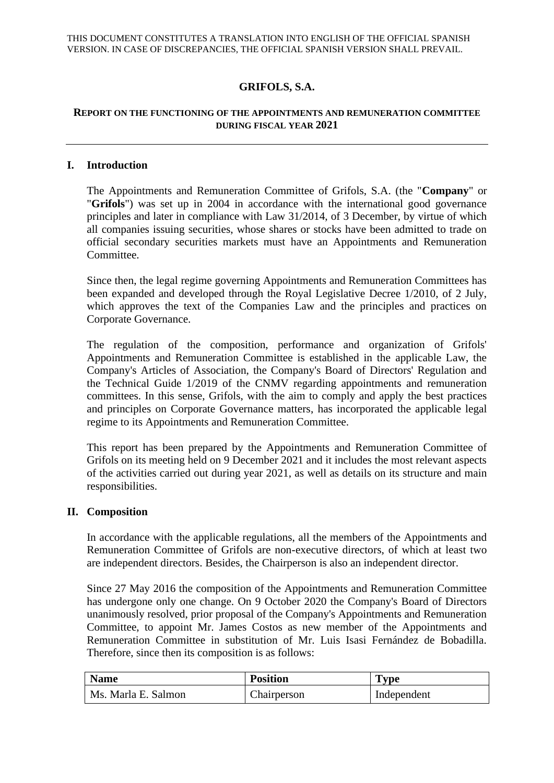# **GRIFOLS, S.A.**

### **REPORT ON THE FUNCTIONING OF THE APPOINTMENTS AND REMUNERATION COMMITTEE DURING FISCAL YEAR 2021**

### **I. Introduction**

The Appointments and Remuneration Committee of Grifols, S.A. (the "**Company**" or "**Grifols**") was set up in 2004 in accordance with the international good governance principles and later in compliance with Law 31/2014, of 3 December, by virtue of which all companies issuing securities, whose shares or stocks have been admitted to trade on official secondary securities markets must have an Appointments and Remuneration Committee.

Since then, the legal regime governing Appointments and Remuneration Committees has been expanded and developed through the Royal Legislative Decree 1/2010, of 2 July, which approves the text of the Companies Law and the principles and practices on Corporate Governance.

The regulation of the composition, performance and organization of Grifols' Appointments and Remuneration Committee is established in the applicable Law, the Company's Articles of Association, the Company's Board of Directors' Regulation and the Technical Guide 1/2019 of the CNMV regarding appointments and remuneration committees. In this sense, Grifols, with the aim to comply and apply the best practices and principles on Corporate Governance matters, has incorporated the applicable legal regime to its Appointments and Remuneration Committee.

This report has been prepared by the Appointments and Remuneration Committee of Grifols on its meeting held on 9 December 2021 and it includes the most relevant aspects of the activities carried out during year 2021, as well as details on its structure and main responsibilities.

#### **II. Composition**

In accordance with the applicable regulations, all the members of the Appointments and Remuneration Committee of Grifols are non-executive directors, of which at least two are independent directors. Besides, the Chairperson is also an independent director.

Since 27 May 2016 the composition of the Appointments and Remuneration Committee has undergone only one change. On 9 October 2020 the Company's Board of Directors unanimously resolved, prior proposal of the Company's Appointments and Remuneration Committee, to appoint Mr. James Costos as new member of the Appointments and Remuneration Committee in substitution of Mr. Luis Isasi Fernández de Bobadilla. Therefore, since then its composition is as follows:

| <b>Name</b>         | <b>Position</b> | <b>Type</b> |
|---------------------|-----------------|-------------|
| Ms. Marla E. Salmon | Chairperson     | Independent |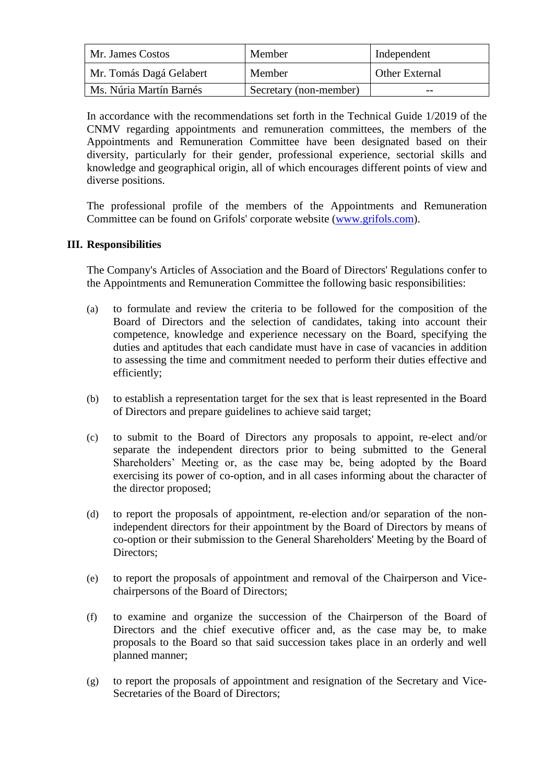| Mr. James Costos        | Member                 | Independent           |
|-------------------------|------------------------|-----------------------|
| Mr. Tomás Dagá Gelabert | Member                 | <b>Other External</b> |
| Ms. Núria Martín Barnés | Secretary (non-member) | $- -$                 |

In accordance with the recommendations set forth in the Technical Guide 1/2019 of the CNMV regarding appointments and remuneration committees, the members of the Appointments and Remuneration Committee have been designated based on their diversity, particularly for their gender, professional experience, sectorial skills and knowledge and geographical origin, all of which encourages different points of view and diverse positions.

The professional profile of the members of the Appointments and Remuneration Committee can be found on Grifols' corporate website [\(www.grifols.com\)](http://www.grifols.com/).

### **III. Responsibilities**

The Company's Articles of Association and the Board of Directors' Regulations confer to the Appointments and Remuneration Committee the following basic responsibilities:

- (a) to formulate and review the criteria to be followed for the composition of the Board of Directors and the selection of candidates, taking into account their competence, knowledge and experience necessary on the Board, specifying the duties and aptitudes that each candidate must have in case of vacancies in addition to assessing the time and commitment needed to perform their duties effective and efficiently;
- (b) to establish a representation target for the sex that is least represented in the Board of Directors and prepare guidelines to achieve said target;
- (c) to submit to the Board of Directors any proposals to appoint, re-elect and/or separate the independent directors prior to being submitted to the General Shareholders' Meeting or, as the case may be, being adopted by the Board exercising its power of co-option, and in all cases informing about the character of the director proposed;
- (d) to report the proposals of appointment, re-election and/or separation of the nonindependent directors for their appointment by the Board of Directors by means of co-option or their submission to the General Shareholders' Meeting by the Board of Directors;
- (e) to report the proposals of appointment and removal of the Chairperson and Vicechairpersons of the Board of Directors;
- (f) to examine and organize the succession of the Chairperson of the Board of Directors and the chief executive officer and, as the case may be, to make proposals to the Board so that said succession takes place in an orderly and well planned manner;
- (g) to report the proposals of appointment and resignation of the Secretary and Vice-Secretaries of the Board of Directors;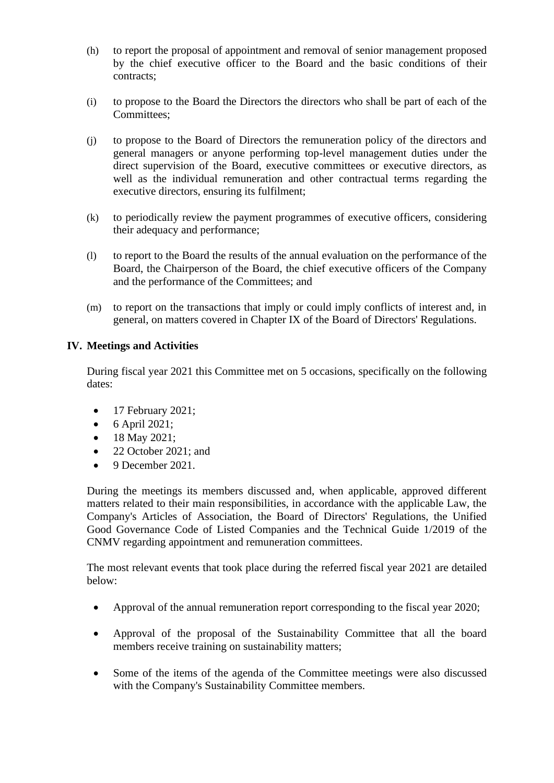- (h) to report the proposal of appointment and removal of senior management proposed by the chief executive officer to the Board and the basic conditions of their contracts;
- (i) to propose to the Board the Directors the directors who shall be part of each of the Committees;
- (j) to propose to the Board of Directors the remuneration policy of the directors and general managers or anyone performing top-level management duties under the direct supervision of the Board, executive committees or executive directors, as well as the individual remuneration and other contractual terms regarding the executive directors, ensuring its fulfilment;
- (k) to periodically review the payment programmes of executive officers, considering their adequacy and performance;
- (l) to report to the Board the results of the annual evaluation on the performance of the Board, the Chairperson of the Board, the chief executive officers of the Company and the performance of the Committees; and
- (m) to report on the transactions that imply or could imply conflicts of interest and, in general, on matters covered in Chapter IX of the Board of Directors' Regulations.

# **IV. Meetings and Activities**

During fiscal year 2021 this Committee met on 5 occasions, specifically on the following dates:

- 17 February 2021;
- $\bullet$  6 April 2021;
- 18 May 2021;
- 22 October 2021; and
- 9 December 2021.

During the meetings its members discussed and, when applicable, approved different matters related to their main responsibilities, in accordance with the applicable Law, the Company's Articles of Association, the Board of Directors' Regulations, the Unified Good Governance Code of Listed Companies and the Technical Guide 1/2019 of the CNMV regarding appointment and remuneration committees.

The most relevant events that took place during the referred fiscal year 2021 are detailed below:

- Approval of the annual remuneration report corresponding to the fiscal year 2020;
- Approval of the proposal of the Sustainability Committee that all the board members receive training on sustainability matters;
- Some of the items of the agenda of the Committee meetings were also discussed with the Company's Sustainability Committee members.